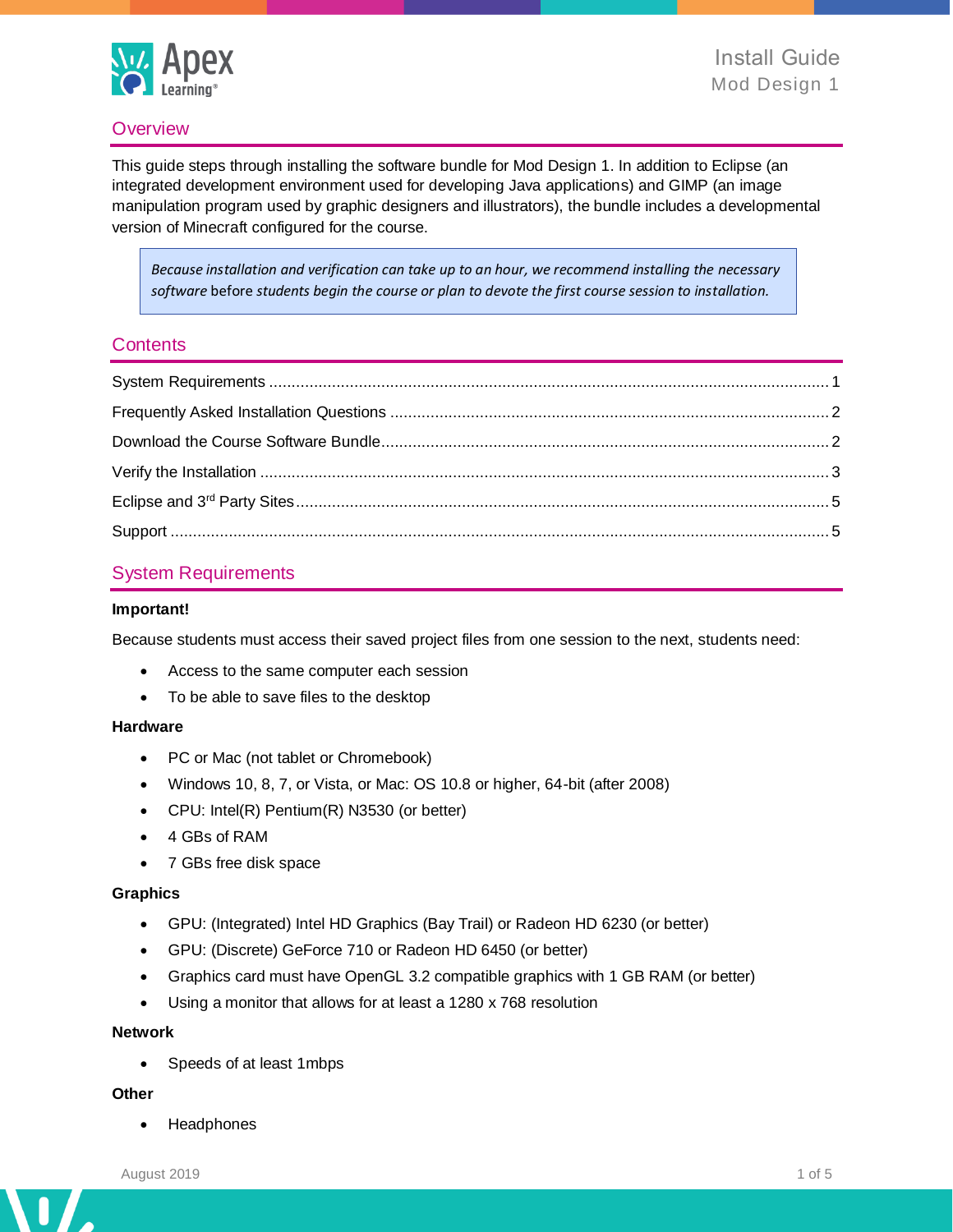

### **Overview**

This guide steps through installing the software bundle for Mod Design 1. In addition to Eclipse (an integrated development environment used for developing Java applications) and GIMP (an image manipulation program used by graphic designers and illustrators), the bundle includes a developmental version of Minecraft configured for the course.

*Because installation and verification can take up to an hour, we recommend installing the necessary software* before *students begin the course or plan to devote the first course session to installation.*

### **Contents**

### <span id="page-0-0"></span>System Requirements

#### **Important!**

Because students must access their saved project files from one session to the next, students need:

- Access to the same computer each session
- To be able to save files to the desktop

#### **Hardware**

- PC or Mac (not tablet or Chromebook)
- Windows 10, 8, 7, or Vista, or Mac: OS 10.8 or higher, 64-bit (after 2008)
- CPU: Intel(R) Pentium(R) N3530 (or better)
- 4 GBs of RAM
- 7 GBs free disk space

#### **Graphics**

- GPU: (Integrated) Intel HD Graphics (Bay Trail) or Radeon HD 6230 (or better)
- GPU: (Discrete) GeForce 710 or Radeon HD 6450 (or better)
- Graphics card must have OpenGL 3.2 compatible graphics with 1 GB RAM (or better)
- Using a monitor that allows for at least a 1280 x 768 resolution

#### **Network**

• Speeds of at least 1mbps

#### **Other**

• Headphones

n

 $\overline{\phantom{a}}$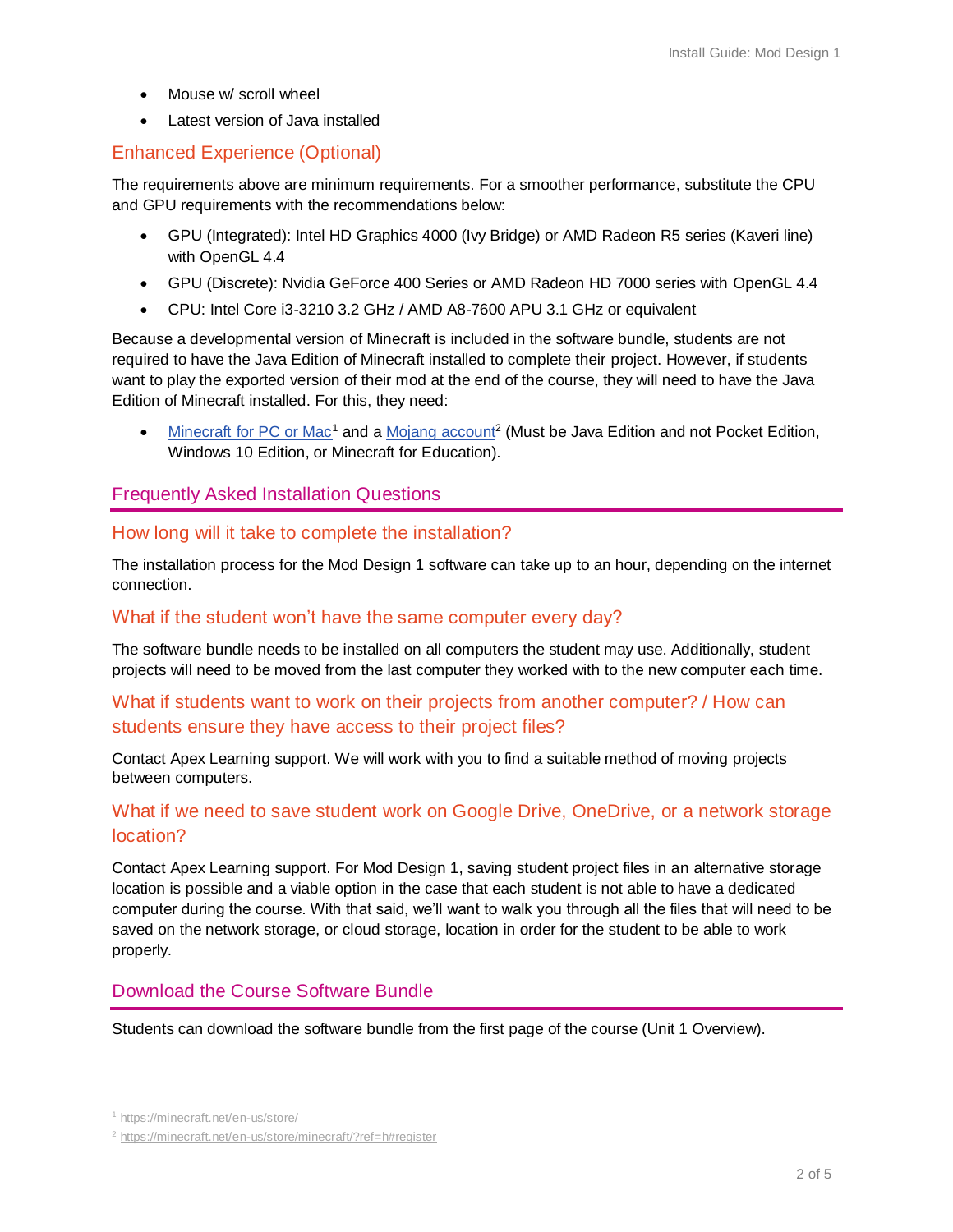- Mouse w/ scroll wheel
- Latest version of Java installed

## Enhanced Experience (Optional)

The requirements above are minimum requirements. For a smoother performance, substitute the CPU and GPU requirements with the recommendations below:

- GPU (Integrated): Intel HD Graphics 4000 (Ivy Bridge) or AMD Radeon R5 series (Kaveri line) with OpenGL 4.4
- GPU (Discrete): Nvidia GeForce 400 Series or AMD Radeon HD 7000 series with OpenGL 4.4
- CPU: Intel Core i3-3210 3.2 GHz / AMD A8-7600 APU 3.1 GHz or equivalent

Because a developmental version of Minecraft is included in the software bundle, students are not required to have the Java Edition of Minecraft installed to complete their project. However, if students want to play the exported version of their mod at the end of the course, they will need to have the Java Edition of Minecraft installed. For this, they need:

• [Minecraft for PC or Mac](https://minecraft.net/en-us/store/)<sup>1</sup> and a [Mojang account](https://minecraft.net/en-us/store/minecraft/?ref=h#register)<sup>2</sup> (Must be Java Edition and not Pocket Edition, Windows 10 Edition, or Minecraft for Education).

## <span id="page-1-0"></span>Frequently Asked Installation Questions

### How long will it take to complete the installation?

The installation process for the Mod Design 1 software can take up to an hour, depending on the internet connection.

#### What if the student won't have the same computer every day?

The software bundle needs to be installed on all computers the student may use. Additionally, student projects will need to be moved from the last computer they worked with to the new computer each time.

# What if students want to work on their projects from another computer? / How can students ensure they have access to their project files?

<span id="page-1-1"></span>Contact Apex Learning support. We will work with you to find a suitable method of moving projects between computers.

## What if we need to save student work on Google Drive, OneDrive, or a network storage location?

Contact Apex Learning support. For Mod Design 1, saving student project files in an alternative storage location is possible and a viable option in the case that each student is not able to have a dedicated computer during the course. With that said, we'll want to walk you through all the files that will need to be saved on the network storage, or cloud storage, location in order for the student to be able to work properly.

## Download the Course Software Bundle

Students can download the software bundle from the first page of the course (Unit 1 Overview).

<sup>1</sup> <https://minecraft.net/en-us/store/>

<sup>2</sup> <https://minecraft.net/en-us/store/minecraft/?ref=h#register>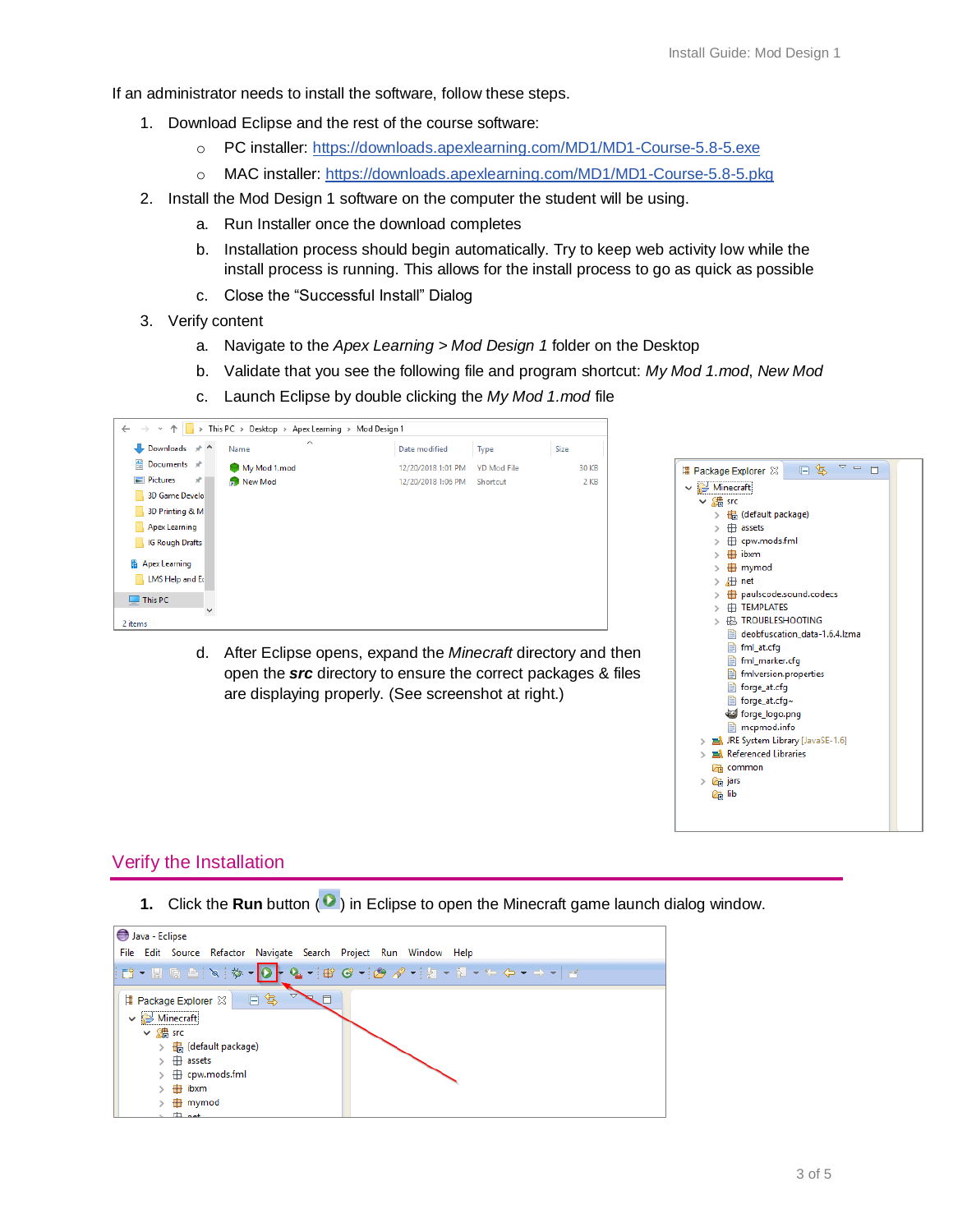If an administrator needs to install the software, follow these steps.

- 1. Download Eclipse and the rest of the course software:
	- o PC installer: <https://downloads.apexlearning.com/MD1/MD1-Course-5.8-5.exe>
	- o MAC installer:<https://downloads.apexlearning.com/MD1/MD1-Course-5.8-5.pkg>
- 2. Install the Mod Design 1 software on the computer the student will be using.
	- a. Run Installer once the download completes
	- b. Installation process should begin automatically. Try to keep web activity low while the install process is running. This allows for the install process to go as quick as possible
	- c. Close the "Successful Install" Dialog
- 3. Verify content
	- a. Navigate to the *Apex Learning > Mod Design 1* folder on the Desktop
	- b. Validate that you see the following file and program shortcut: *My Mod 1.mod*, *New Mod*
	- c. Launch Eclipse by double clicking the *My Mod 1.mod* file



open the *src* directory to ensure the correct packages & files are displaying properly. (See screenshot at right.)



#### <span id="page-2-0"></span>Verify the Installation

**1.** Click the **Run** button ( $\bullet$ ) in Eclipse to open the Minecraft game launch dialog window.

| Java - Eclipse                                                    |
|-------------------------------------------------------------------|
| File Edit Source Refactor Navigate Search Project Run Window Help |
|                                                                   |
| 日冬<br>  Package Explorer 23                                       |
| $\vee$ $\rightarrow$ Minecraft                                    |
| $\vee$ 綿 src                                                      |
| + (default package)                                               |
| $\overline{H}$ assets                                             |
| <b>⊞</b> cpw.mods.fml                                             |
| # ibxm                                                            |
| <b>⊞</b> mymod                                                    |
|                                                                   |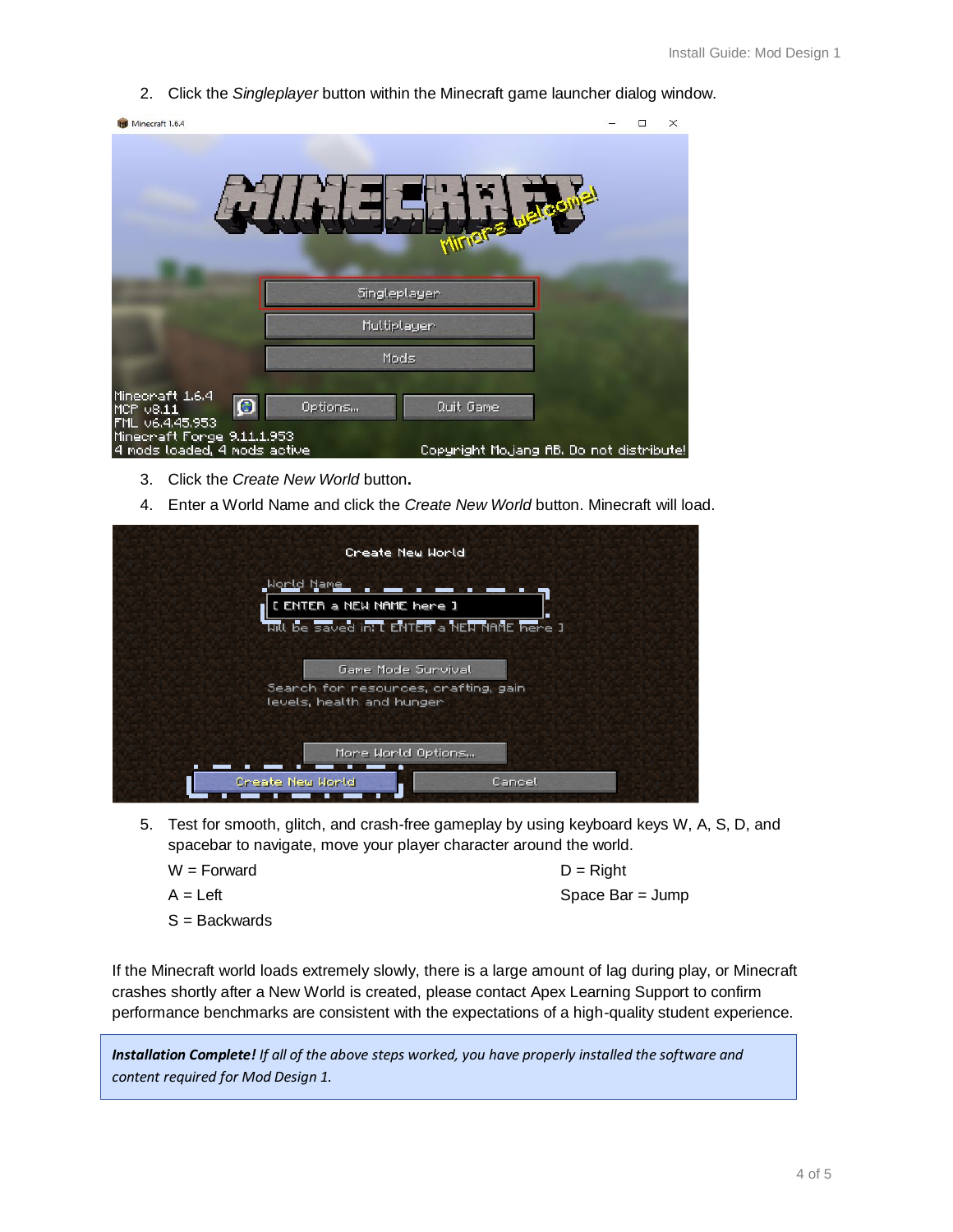2. Click the *Singleplayer* button within the Minecraft game launcher dialog window.



- 3. Click the *Create New World* button**.**
- 4. Enter a World Name and click the *Create New World* button. Minecraft will load.

| Create New World                            |
|---------------------------------------------|
|                                             |
| <u>.World Name</u>                          |
| I ENTER a NEW NAME here I                   |
| uill be saved in: L ENTER a NEW NAME here J |
| Game Mode Sunvival                          |
| Search for resources, crafting, gain        |
| levels, health and hunger                   |
|                                             |
| Mone World Options                          |
| Create New H <u>orld</u><br>Cancel          |
|                                             |

- 5. Test for smooth, glitch, and crash-free gameplay by using keyboard keys W, A, S, D, and spacebar to navigate, move your player character around the world.
	- $W =$  Forward  $D =$  Right
	- S = Backwards

 $A = Left$  Space Bar = Jump

If the Minecraft world loads extremely slowly, there is a large amount of lag during play, or Minecraft crashes shortly after a New World is created, please contact Apex Learning Support to confirm performance benchmarks are consistent with the expectations of a high-quality student experience.

*Installation Complete! If all of the above steps worked, you have properly installed the software and content required for Mod Design 1.*